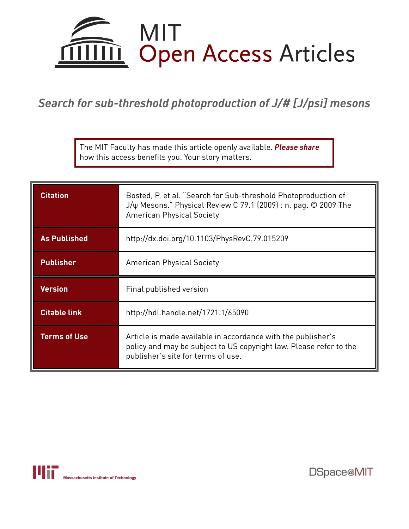

*Search for sub-threshold photoproduction of J/# [J/psi] mesons*

The MIT Faculty has made this article openly available. *[Please](https://libraries.mit.edu/forms/dspace-oa-articles.html) share* how this access benefits you. Your story matters.

| <b>Citation</b>     | Bosted, P. et al. "Search for Sub-threshold Photoproduction of<br>J/ $\psi$ Mesons." Physical Review C 79.1 (2009) : n. pag. © 2009 The<br><b>American Physical Society</b> |  |  |  |  |  |
|---------------------|-----------------------------------------------------------------------------------------------------------------------------------------------------------------------------|--|--|--|--|--|
| <b>As Published</b> | http://dx.doi.org/10.1103/PhysRevC.79.015209                                                                                                                                |  |  |  |  |  |
| <b>Publisher</b>    | <b>American Physical Society</b>                                                                                                                                            |  |  |  |  |  |
|                     |                                                                                                                                                                             |  |  |  |  |  |
| <b>Version</b>      | Final published version                                                                                                                                                     |  |  |  |  |  |
| <b>Citable link</b> | http://hdl.handle.net/1721.1/65090                                                                                                                                          |  |  |  |  |  |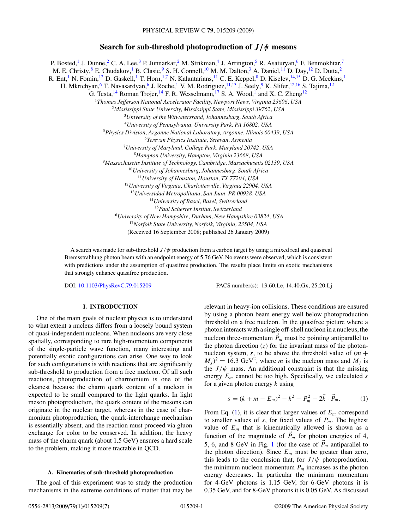# **Search for sub-threshold photoproduction of** *J/ψ* **mesons**

<span id="page-1-0"></span>P. Bosted,<sup>1</sup> J. Dunne,<sup>2</sup> C. A. Lee,<sup>3</sup> P. Junnarkar,<sup>2</sup> M. Strikman,<sup>4</sup> J. Arrington,<sup>5</sup> R. Asaturyan,<sup>6</sup> F. Benmokhtar,<sup>7</sup> M. E. Christy, <sup>8</sup> E. Chudakov, <sup>1</sup> B. Clasie, <sup>9</sup> S. H. Connell, <sup>10</sup> M. M. Dalton, <sup>3</sup> A. Daniel, <sup>11</sup> D. Day, <sup>12</sup> D. Dutta, <sup>2</sup> R. Ent,<sup>1</sup> N. Fomin,<sup>12</sup> D. Gaskell,<sup>1</sup> T. Horn,<sup>1,7</sup> N. Kalantarians,<sup>11</sup> C. E. Keppel,<sup>8</sup> D. Kiselev,<sup>14,15</sup> D. G. Meekins,<sup>1</sup> H. Mkrtchyan,<sup>6</sup> T. Navasardyan,<sup>6</sup> J. Roche,<sup>1</sup> V. M. Rodriguez,<sup>11,13</sup> J. Seely,<sup>9</sup> K. Slifer,<sup>12,16</sup> S. Tajima,<sup>12</sup> G. Testa, <sup>14</sup> Roman Trojer, <sup>14</sup> F. R. Wesselmann, <sup>17</sup> S. A. Wood, <sup>1</sup> and X. C. Zheng<sup>12</sup> *Thomas Jefferson National Accelerator Facility, Newport News, Virginia 23606, USA Mississippi State University, Mississippi State, Mississippi 39762, USA University of the Witwatersrand, Johannesburg, South Africa University of Pennsylvania, University Park, PA 16802, USA Physics Division, Argonne National Laboratory, Argonne, Illinois 60439, USA Yerevan Physics Institute, Yerevan, Armenia University of Maryland, College Park, Maryland 20742, USA Hampton University, Hampton, Virginia 23668, USA Massachusetts Institute of Technology, Cambridge, Massachusetts 02139, USA University of Johannesburg, Johannesburg, South Africa University of Houston, Houston, TX 77204, USA University of Virginia, Charlottesville, Virginia 22904, USA Universidad Metropolitana, San Juan, PR 00928, USA University of Basel, Basel, Switzerland Paul Scherrer Institut, Switzerland University of New Hampshire, Durham, New Hampshire 03824, USA Norfolk State University, Norfolk, Virginia, 23504, USA* (Received 16 September 2008; published 26 January 2009)

A search was made for sub-threshold *J/ψ* production from a carbon target by using a mixed real and quasireal Bremsstrahlung photon beam with an endpoint energy of 5.76 GeV. No events were observed, which is consistent with predictions under the assumption of quasifree production. The results place limits on exotic mechanisms that strongly enhance quasifree production.

DOI: [10.1103/PhysRevC.79.015209](http://dx.doi.org/10.1103/PhysRevC.79.015209) PACS number(s): 13*.*60*.*Le, 14*.*40*.*Gx, 25*.*20*.*Lj

## **I. INTRODUCTION**

One of the main goals of nuclear physics is to understand to what extent a nucleus differs from a loosely bound system of quasi-independent nucleons. When nucleons are very close spatially, corresponding to rare high-momentum components of the single-particle wave function, many interesting and potentially exotic configurations can arise. One way to look for such configurations is with reactions that are significantly sub-threshold to production from a free nucleon. Of all such reactions, photoproduction of charmonium is one of the cleanest because the charm quark content of a nucleon is expected to be small compared to the light quarks. In light meson photoproduction, the quark content of the mesons can originate in the nuclear target, whereas in the case of charmonium photoproduction, the quark-interchange mechanism is essentially absent, and the reaction must proceed via gluon exchange for color to be conserved. In addition, the heavy mass of the charm quark (about 1.5 GeV) ensures a hard scale to the problem, making it more tractable in QCD.

## **A. Kinematics of sub-threshold photoproduction**

The goal of this experiment was to study the production mechanisms in the extreme conditions of matter that may be relevant in heavy-ion collisions. These conditions are ensured by using a photon beam energy well below photoproduction threshold on a free nucleon. In the quasifree picture where a photon interacts with a single off-shell nucleon in a nucleus, the nucleon three-momentum  $P_m$  must be pointing antiparallel to the photon direction  $(z)$  for the invariant mass of the photonnucleon system,  $s$ , to be above the threshold value of  $(m +$  $(M_j)^2 = 16.3 \text{ GeV}^2$ , where *m* is the nucleon mass and  $M_j$  is the  $J/\psi$  mass. An additional constraint is that the missing energy *Em* cannot be too high. Specifically, we calculated *s* for a given photon energy *k* using

$$
s = (k + m - E_m)^2 - k^2 - P_m^2 - 2\vec{k} \cdot \vec{P}_m.
$$
 (1)

From Eq.  $(1)$ , it is clear that larger values of  $E_m$  correspond to smaller values of  $s$ , for fixed values of  $P_m$ . The highest value of  $E_m$  that is kinematically allowed is shown as a function of the magnitude of  $P_m$  for photon energies of 4, 5, 6, and 8 GeV in Fig. [1](#page-2-0) (for the case of *P <sup>m</sup>* antiparallel to the photon direction). Since  $E_m$  must be greater than zero, this leads to the conclusion that, for  $J/\psi$  photoproduction, the minimum nucleon momentum  $P_m$  increases as the photon energy decreases. In particular the minimum momentum for 4-GeV photons is 1.15 GeV, for 6-GeV photons it is 0.35 GeV, and for 8-GeV photons it is 0.05 GeV. As discussed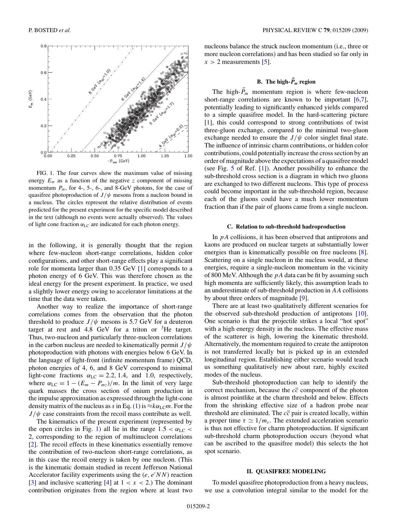<span id="page-2-0"></span>

FIG. 1. The four curves show the maximum value of missing energy  $E_m$  as a function of the negative *z* component of missing momentum  $P_m$ , for 4-, 5-, 6-, and 8-GeV photons, for the case of quasifree photoproduction of  $J/\psi$  mesons from a nucleon bound in a nucleus. The circles represent the relative distribution of events predicted for the present experiment for the specific model described in the text (although no events were actually observed). The values of light cone fraction  $\alpha_{\text{LC}}$  are indicated for each photon energy.

in the following, it is generally thought that the region where few-nucleon short-range correlations, hidden color configurations, and other short-range effects play a significant role for momenta larger than 0.35 GeV [\[1\]](#page-7-0) corresponds to a photon energy of 6 GeV. This was therefore chosen as the ideal energy for the present experiment. In practice, we used a slightly lower energy owing to accelerator limitations at the time that the data were taken.

Another way to realize the importance of short-range correlations comes from the observation that the photon threshold to produce  $J/\psi$  mesons is 5.7 GeV for a deuteron target at rest and 4.8 GeV for a triton or  $3$ He target. Thus, two-nucleon and particularly three-nucleon correlations in the carbon nucleus are needed to kinematically permit *J/ψ* photoproduction with photons with energies below 6 GeV. In the language of light-front (infinite momentum frame) QCD, photon energies of 4, 6, and 8 GeV correspond to minimal light-cone fractions  $\alpha_{\text{LC}} = 2.2, 1.4, \text{ and } 1.0, \text{ respectively,}$ where  $\alpha_{\text{LC}} = 1 - (E_m - P_{mz})/m$ . In the limit of very large quark masses the cross section of onium production in the impulse approximation as expressed through the light-cone density matrix of the nucleus as *s* in Eq. [\(1\)](#page-1-0) is  $\approx k\alpha_{\text{LC}}m$ . For the  $J/\psi$  case constraints from the recoil mass contribute as well.

The kinematics of the present experiment (represented by the open circles in Fig. 1) all lie in the range  $1.5 < \alpha_{\text{LC}} <$ 2, corresponding to the region of multinucleon correlations [\[2\]](#page-7-0). The recoil effects in these kinematics essentially remove the contribution of two-nucleon short-range correlations, as in this case the recoil energy is taken by one nucleon. (This is the kinematic domain studied in recent Jefferson National Accelerator facility experiments using the  $(e, e'NN)$  reaction [\[3\]](#page-7-0) and inclusive scattering [\[4\]](#page-7-0) at  $1 < x < 2$ .) The dominant contribution originates from the region where at least two

nucleons balance the struck nucleon momentum (i.e., three or more nucleon correlations) and has been studied so far only in  $x > 2$  measurements [\[5\]](#page-7-0).

# **B.** The high- $\vec{P}_m$  region

The high- $P_m$  momentum region is where few-nucleon short-range correlations are known to be important [\[6,7\]](#page-7-0), potentially leading to significantly enhanced yields compared to a simple quasifree model. In the hard-scattering picture [\[1\]](#page-7-0), this could correspond to strong contributions of twist three-gluon exchange, compared to the minimal two-gluon exchange needed to ensure the  $J/\psi$  color singlet final state. The influence of intrinsic charm contributions, or hidden color contributions, could potentially increase the cross section by an order of magnitude above the expectations of a quasifree model (see Fig. [5](#page-6-0) of Ref. [\[1\]](#page-7-0)). Another possibility to enhance the sub-threshold cross section is a diagram in which two gluons are exchanged to two different nucleons. This type of process could become important in the sub-threshold region, because each of the gluons could have a much lower momentum fraction than if the pair of gluons came from a single nucleon.

#### **C. Relation to sub-threshold hadroproduction**

In *pA* collisions, it has been observed that antiprotons and kaons are produced on nuclear targets at substantially lower energies than is kinematically possible on free nucleons [\[8\]](#page-7-0). Scattering on a single nucleon in the nucleus would, at these energies, require a single-nucleon momentum in the vicinity of 800 MeV. Although the *pA* data can be fit by assuming such high momenta are sufficiently likely, this assumption leads to an underestimate of sub-threshold production in *AA* collisions by about three orders of magnitude [\[9\]](#page-7-0).

There are at least two qualitatively different scenarios for the observed sub-threshold production of antiprotons [\[10\]](#page-7-0). One scenario is that the projectile strikes a local "hot spot" with a high energy density in the nucleus. The effective mass of the scatterer is high, lowering the kinematic threshold. Alternatively, the momentum required to create the antiproton is not transferred locally but is picked up in an extended longitudinal region. Establishing either scenario would teach us something qualitatively new about rare, highly excited modes of the nucleus.

Sub-threshold photoproduction can help to identify the correct mechanism, because the  $c\bar{c}$  component of the photon is almost pointlike at the charm threshold and below. Effects from the shrinking effective size of a hadron probe near threshold are eliminated. The  $c\bar{c}$  pair is created locally, within a proper time  $\tau \simeq 1/m_c$ . The extended acceleration scenario is thus not effective for charm photoproduction. If significant sub-threshold charm photoproduction occurs (beyond what can be ascribed to the quasifree model) this selects the hot spot scenario.

### **II. QUASIFREE MODELING**

To model quasifree photoproduction from a heavy nucleus, we use a convolution integral similar to the model for the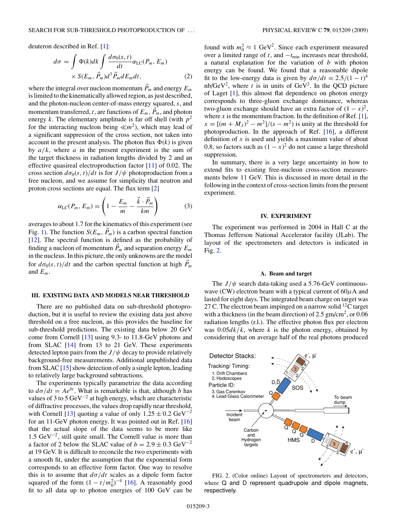deuteron described in Ref. [\[1\]](#page-7-0):

$$
d\sigma = \int \Phi(k)dk \int \frac{d\sigma_0(s, t)}{dt} \alpha_{\text{LC}}(P_m, E_m)
$$

$$
\times S(E_m, \vec{P}_m) d^3 \vec{P}_m dE_m dt,
$$
 (2)

where the integral over nucleon momentum  $P_m$  and energy  $E_m$ is limited to the kinematically allowed region, as just described, and the photon-nucleon center-of-mass energy squared, *s*, and momentum transferred, *t*, are functions of *Em, P <sup>m</sup>*, and photon energy *k*. The elementary amplitude is far off shell (with  $p^2$ ) for the interacting nucleon being  $\ll m^2$ ), which may lead of a significant suppression of the cross section, not taken into account in the present analysis. The photon flux  $\Phi(k)$  is given by  $a/k$ , where *a* in the present experiment is the sum of the target thickness in radiation lengths divided by 2 and an effective quasireal electroproduction factor [\[11\]](#page-7-0) of 0.02. The cross section  $d\sigma_0(s, t)/dt$  is for  $J/\psi$  photoproduction from a free nucleon, and we assume for simplicity that neutron and proton cross sections are equal. The flux term [\[2\]](#page-7-0)

$$
\alpha_{\text{LC}}(P_m, E_m) = \left(1 - \frac{E_m}{m} - \frac{\vec{k} \cdot \vec{P}_m}{km}\right) \tag{3}
$$

averages to about 1.7 for the kinematics of this experiment (see Fig. [1\)](#page-2-0). The function  $S(E_m, P_m)$  is a carbon spectral function [\[12\]](#page-7-0). The spectral function is defined as the probability of finding a nucleon of momentum  $P_m$  and separation energy  $E_m$ in the nucleus. In this picture, the only unknowns are the model for  $d\sigma_0(s, t)/dt$  and the carbon spectral function at high  $P_m$ and  $E_m$ .

## **III. EXISTING DATA AND MODELS NEAR THRESHOLD**

There are no published data on sub-threshold photoproduction, but it is useful to review the existing data just above threshold on a free nucleon, as this provides the baseline for sub-threshold predictions. The existing data below 20 GeV come from Cornell [\[13\]](#page-7-0) using 9.3- to 11.8-GeV photons and from SLAC [\[14\]](#page-7-0) from 13 to 21 GeV. These experiments detected lepton pairs from the  $J/\psi$  decay to provide relatively background-free measurements. Additional unpublished data from SLAC [\[15\]](#page-7-0) show detection of only a single lepton, leading to relatively large background subtractions.

The experiments typically parametrize the data according to  $d\sigma/dt = Ae^{bt}$ . What is remarkable is that, although *b* has values of 3 to 5 GeV−<sup>2</sup> at high energy, which are characteristic of diffractive processes, the values drop rapidly near threshold, with Cornell [\[13\]](#page-7-0) quoting a value of only  $1.25 \pm 0.2$  GeV<sup>-2</sup> for an 11-GeV photon energy. It was pointed out in Ref. [\[16\]](#page-7-0) that the actual slope of the data seems to be more like 1.5 GeV−2, still quite small. The Cornell value is more than a factor of 2 below the SLAC value of  $b = 2.9 \pm 0.3$  GeV<sup>-2</sup> at 19 GeV. It is difficult to reconcile the two experiments with a smooth fit, under the assumption that the exponential form corresponds to an effective form factor. One way to resolve this is to assume that  $d\sigma/dt$  scales as a dipole form factor squared of the form  $(1 - t/m_0^2)^{-4}$  [\[16\]](#page-7-0). A reasonably good fit to all data up to photon energies of 100 GeV can be

found with  $m_0^2 \approx 1$  GeV<sup>2</sup>. Since each experiment measured over a limited range of *t*, and −*t*min increases near threshold, a natural explanation for the variation of *b* with photon energy can be found. We found that a reasonable dipole fit to the low-energy data is given by  $d\sigma/dt = 2.5/(1 - t)^4$ nb/GeV<sup>2</sup>, where *t* is in units of GeV<sup>2</sup>. In the QCD picture of Laget [\[1\]](#page-7-0), this almost flat dependence on photon energy corresponds to three-gluon exchange dominance, whereas two-gluon exchange should have an extra factor of  $(1 - x)^2$ , where  $x$  is the momentum fraction. In the definition of Ref.  $[1]$ ,  $x = [(m + M_J)^2 - m^2]/(s - m^2)$  is unity at the threshold for photoproduction. In the approach of Ref. [\[16\]](#page-7-0), a different definition of *x* is used and yields a maximum value of about 0.8, so factors such as  $(1 - x)^2$  do not cause a large threshold suppression.

In summary, there is a very large uncertainty in how to extend fits to existing free-nucleon cross-section measurements below 11 GeV. This is discussed in more detail in the following in the context of cross-section limits from the present experiment.

#### **IV. EXPERIMENT**

The experiment was performed in 2004 in Hall C at the Thomas Jefferson National Accelerator facility (JLab). The layout of the spectrometers and detectors is indicated in Fig. 2.

#### **A. Beam and target**

The  $J/\psi$  search data-taking used a 5.76-GeV continuouswave (CW) electron beam with a typical current of 60*µ*A and lasted for eight days. The integrated beam charge on target was 27 C. The electron beam impinged on a narrow solid  ${}^{12}C$  target with a thickness (in the beam direction) of  $2.5 \text{ gm/cm}^2$ , or  $0.06$ radiation lengths (r.l.). The effective photon flux per electron was  $0.05dk/k$ , where *k* is the photon energy, obtained by considering that on average half of the real photons produced



FIG. 2. (Color online) Layout of spectrometers and detectors, where Q and D represent quadrupole and dipole magnets, respectively.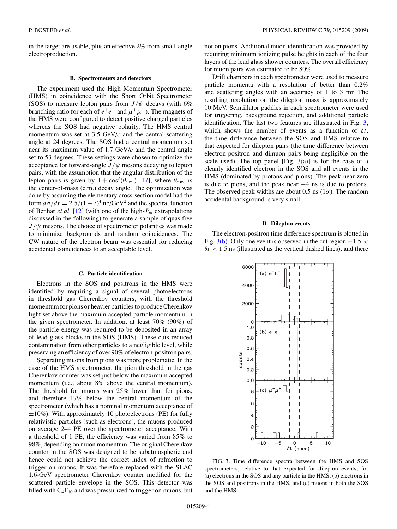<span id="page-4-0"></span>in the target are usable, plus an effective 2% from small-angle electroproduction.

## **B. Spectrometers and detectors**

The experiment used the High Momentum Spectrometer (HMS) in coincidence with the Short Orbit Spectrometer (SOS) to measure lepton pairs from  $J/\psi$  decays (with 6%) branching ratio for each of  $e^+e^-$  and  $\mu^+\mu^-$ ). The magnets of the HMS were configured to detect positive charged particles whereas the SOS had negative polarity. The HMS central momentum was set at 3.5 GeV/*c* and the central scattering angle at 24 degrees. The SOS had a central momentum set near its maximum value of 1.7 GeV/*c* and the central angle set to 53 degrees. These settings were chosen to optimize the acceptance for forward-angle  $J/\psi$  mesons decaying to lepton pairs, with the assumption that the angular distribution of the lepton pairs is given by  $1 + \cos^2(\theta_{c.m.})$  [\[17\]](#page-7-0), where  $\theta_{c.m.}$  is the center-of-mass (c.m.) decay angle. The optimization was done by assuming the elementary cross-section model had the form  $d\sigma/dt = 2.5/(1 - t)^4$  nb/GeV<sup>2</sup> and the spectral function of Benhar *et al.* [\[12\]](#page-7-0) (with one of the high-*Pm* extrapolations discussed in the following) to generate a sample of quasifree  $J/\psi$  mesons. The choice of spectrometer polarities was made to minimize backgrounds and random coincidences. The CW nature of the electron beam was essential for reducing accidental coincidences to an acceptable level.

#### **C. Particle identification**

Electrons in the SOS and positrons in the HMS were identified by requiring a signal of several photoelectrons in threshold gas Cherenkov counters, with the threshold momentum for pions or heavier particles to produce Cherenkov light set above the maximum accepted particle momentum in the given spectrometer. In addition, at least 70% (90%) of the particle energy was required to be deposited in an array of lead glass blocks in the SOS (HMS). These cuts reduced contamination from other particles to a negligible level, while preserving an efficiency of over 90% of electron-positron pairs.

Separating muons from pions was more problematic. In the case of the HMS spectrometer, the pion threshold in the gas Cherenkov counter was set just below the maximum accepted momentum (i.e., about 8% above the central momentum). The threshold for muons was 25% lower than for pions, and therefore 17% below the central momentum of the spectrometer (which has a nominal momentum acceptance of  $\pm 10\%$ ). With approximately 10 photoelectrons (PE) for fully relativistic particles (such as electrons), the muons produced on average 2–4 PE over the spectrometer acceptance. With a threshold of 1 PE, the efficiency was varied from 85% to 98%, depending on muon momentum. The original Cherenkov counter in the SOS was designed to be subatmospheric and hence could not achieve the correct index of refraction to trigger on muons. It was therefore replaced with the SLAC 1.6-GeV spectrometer Cherenkov counter modified for the scattered particle envelope in the SOS. This detector was filled with  $C_4F_{10}$  and was pressurized to trigger on muons, but

not on pions. Additional muon identification was provided by requiring minimum ionizing pulse heights in each of the four layers of the lead glass shower counters. The overall efficiency for muon pairs was estimated to be 80%.

Drift chambers in each spectrometer were used to measure particle momenta with a resolution of better than 0.2% and scattering angles with an accuracy of 1 to 3 mr. The resulting resolution on the dilepton mass is approximately 10 MeV. Scintillator paddles in each spectrometer were used for triggering, background rejection, and additional particle identification. The last two features are illustrated in Fig. 3, which shows the number of events as a function of *δt*, the time difference between the SOS and HMS relative to that expected for dilepton pairs (the time difference between electron-positron and dimuon pairs being negligible on the scale used). The top panel [Fig.  $3(a)$ ] is for the case of a cleanly identified electron in the SOS and all events in the HMS (dominated by protons and pions). The peak near zero is due to pions, and the peak near  $-4$  ns is due to protons. The observed peak widths are about  $0.5 \text{ ns } (1\sigma)$ . The random accidental background is very small.

### **D. Dilepton events**

The electron-positron time difference spectrum is plotted in Fig. 3(b). Only one event is observed in the cut region −1*.*5 *< δt <* 1*.*5 ns (illustrated as the vertical dashed lines), and there



FIG. 3. Time difference spectra between the HMS and SOS spectrometers, relative to that expected for dilepton events, for (a) electrons in the SOS and any particle in the HMS, (b) electrons in the SOS and positrons in the HMS, and (c) muons in both the SOS and the HMS.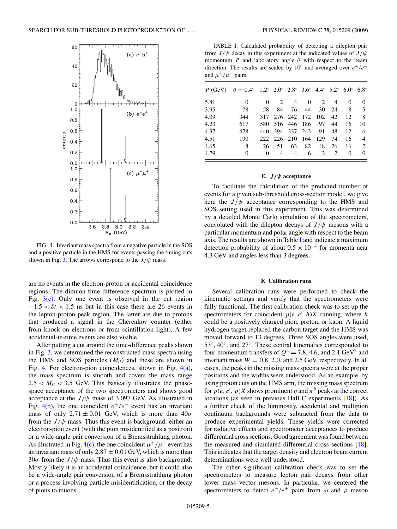

FIG. 4. Invariant mass spectra from a negative particle in the SOS and a positive particle in the HMS for events passing the timing cuts shown in Fig. [3.](#page-4-0) The arrows correspond to the  $J/\psi$  mass.

are no events in the electron-proton or accidental coincidence regions. The dimuon time difference spectrum is plotted in Fig.  $3(c)$ . Only one event is observed in the cut region  $-1.5 < \delta t < 1.5$  ns but in this case there are 26 events in the lepton-proton peak region. The latter are due to protons that produced a signal in the Cherenkov counter (either from knock-on electrons or from scintillation light). A few accidental-in-time events are also visible.

After putting a cut around the time-difference peaks shown in Fig. [3,](#page-4-0) we determined the reconstructed mass spectra using the HMS and SOS particles  $(M_{ll})$  and these are shown in Fig. 4. For electron-pion coincidences, shown in Fig. 4(a), the mass spectrum is smooth and covers the mass range  $2.5 < M_{ll} < 3.5$  GeV. This basically illustrates the phasespace acceptance of the two spectrometers and shows good acceptance at the  $J/\psi$  mass of 3.097 GeV. As illustrated in Fig. 4(b), the one coincident  $e^+/e^-$  event has an invariant mass of only  $2.71 \pm 0.01$  GeV, which is more than  $40\sigma$ from the  $J/\psi$  mass. Thus this event is background: either an electron-pion event (with the pion misidentified as a positron) or a wide-angle pair conversion of a Bremsstrahlung photon. As illustrated in Fig. 4(c), the one coincident  $\mu^+/\mu^-$  event has an invariant mass of only  $2.87 \pm 0.01$  GeV, which is more than 30 $\sigma$  from the *J/* $\psi$  mass. Thus this event is also background: Mostly likely it is an accidental coincidence, but it could also be a wide-angle pair conversion of a Bremsstrahlung photon or a process involving particle misidentification, or the decay of pions to muons.

TABLE I. Calculated probability of detecting a dilepton pair from *J/ψ* decay in this experiment at the indicated values of *J/ψ* momentum *P* and laboratory angle *θ* with respect to the beam direction. The results are scaled by 10<sup>6</sup> and averaged over *e*+*/e*<sup>−</sup> and  $\mu^+/\mu^-$  pairs.

|      | $P(GeV)$ $\theta = 0.4^{\circ}$ $1.2^{\circ}$ $2.0^{\circ}$ $2.8^{\circ}$ $3.6^{\circ}$ $4.4^{\circ}$ $5.2^{\circ}$ $6.0^{\circ}$ $6.8^{\circ}$ |          |    |                 |          |                     |                |          |          |
|------|-------------------------------------------------------------------------------------------------------------------------------------------------|----------|----|-----------------|----------|---------------------|----------------|----------|----------|
| 5.81 | $\Omega$                                                                                                                                        | $\Omega$ | 2  | $\overline{4}$  | $\Omega$ | 2                   | $\overline{4}$ | $\theta$ | $\Omega$ |
| 3.95 | 78                                                                                                                                              | 58       | 84 | 76              | 44       | 30                  | 24             | 8        | -5       |
| 4.09 | 344                                                                                                                                             |          |    |                 |          | 317 276 242 172 102 | 42             | 12       | 8        |
| 4.23 | 617                                                                                                                                             |          |    | 580 516 446 186 |          | 97                  | 44             | 16       | 10       |
| 4.37 | 478                                                                                                                                             |          |    | 440 394 337 243 |          | 91                  | 48             | 12       | -6       |
| 4.51 | 190                                                                                                                                             |          |    | 222 226 210 164 |          | 129                 | 74             | 16       | 4        |
| 4.65 | 8                                                                                                                                               | 26       | 51 | 63              | 82       | 48                  | 26             | 16       | 2        |
| 4.79 | 0                                                                                                                                               | $\Omega$ | 4  | 4               | 6        | 2                   | 2              | 0        | 0        |

# **E.** *J/ψ* **acceptance**

To facilitate the calculation of the predicted number of events for a given sub-threshold cross-section model, we give here the  $J/\psi$  acceptance corresponding to the HMS and SOS setting used in this experiment. This was determined by a detailed Monte Carlo simulation of the spectrometers, convoluted with the dilepton decays of *J/ψ* mesons with a particular momentum and polar angle with respect to the beam axis. The results are shown in Table I and indicate a maximum detection probability of about  $0.5 \times 10^{-4}$  for momenta near 4.3 GeV and angles less than 3 degrees.

### **F. Calibration runs**

Several calibration runs were performed to check the kinematic settings and verify that the spectrometers were fully functional. The first calibration check was to set up the spectrometers for coincident  $p(e, e', h)X$  running, where *h* could be a positively charged pion, proton, or kaon. A liquid hydrogen target replaced the carbon target and the HMS was moved forward to 13 degrees. Three SOS angles were used, 53◦*,* 40◦, and 27◦. These central kinematics corresponded to four-momentum transfers of  $Q^2 = 7.8$ , 4.6, and 2.1 GeV<sup>2</sup> and invariant mass  $W = 0.8, 2.0,$  and  $2.5$  GeV, respectively. In all cases, the peaks in the missing mass spectra were at the proper positions and the widths were understood. As an example, by using proton cuts on the HMS arm, the missing mass spectrum for  $p(e, e', p)X$  shows prominent  $\eta$  and  $\pi^0$  peaks at the correct locations (as seen in previous Hall C experiments [\[18\]](#page-7-0)). As a further check of the luminosity, accidental and multipion continuum backgrounds were subtracted from the data to produce experimental yields. These yields were corrected for radiative effects and spectrometer acceptances to produce differential cross sections. Good agreement was found between the measured and simulated differential cross sections [\[18\]](#page-7-0). This indicates that the target density and electron beam current determinations were well understood.

The other significant calibration check was to set the spectrometers to measure lepton pair decays from other lower mass vector mesons. In particular, we centered the spectrometers to detect  $e^-/e^+$  pairs from  $\omega$  and  $\rho$  meson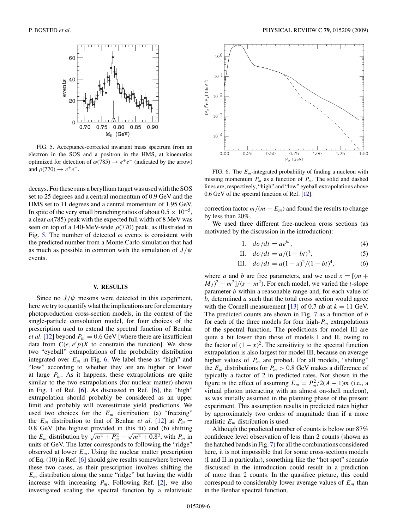<span id="page-6-0"></span>

FIG. 5. Acceptance-corrected invariant mass spectrum from an electron in the SOS and a positron in the HMS, at kinematics optimized for detection of  $\omega(785) \rightarrow e^+e^-$  (indicated by the arrow) and  $\rho(770) \rightarrow e^+e^-$ .

decays. For these runs a beryllium target was used with the SOS set to 25 degrees and a central momentum of 0.9 GeV and the HMS set to 11 degrees and a central momentum of 1.95 GeV. In spite of the very small branching ratios of about  $0.5 \times 10^{-5}$ , a clear *ω*(785) peak with the expected full width of 8 MeV was seen on top of a 140-MeV-wide *ρ*(770) peak, as illustrated in Fig. 5. The number of detected  $\omega$  events is consistent with the predicted number from a Monte Carlo simulation that had as much as possible in common with the simulation of *J/ψ* events.

## **V. RESULTS**

Since no  $J/\psi$  mesons were detected in this experiment, here we try to quantify what the implications are for elementary photoproduction cross-section models, in the context of the single-particle convolution model, for four choices of the prescription used to extend the spectral function of Benhar *et al.* [\[12\]](#page-7-0) beyond  $P_m = 0.6$  GeV [where there are insufficient data from  $C(e, e'p)X$  to constrain the function]. We show two "eyeball" extrapolations of the probability distribution integrated over  $E_m$  in Fig. 6. We label these as "high" and "low" according to whether they are are higher or lower at large  $P_m$ . As it happens, these extrapolations are quite similar to the two extrapolations (for nuclear matter) shown in Fig. [1](#page-2-0) of Ref. [\[6\]](#page-7-0). As discussed in Ref. [\[6\]](#page-7-0), the "high" extrapolation should probably be considered as an upper limit and probably will overestimate yield predictions. We used two choices for the  $E_m$  distribution: (a) "freezing" the  $E_m$  distribution to that of Benhar *et al.* [\[12\]](#page-7-0) at  $P_m =$ 0*.*8 GeV (the highest provided in this fit) and (b) shifting the  $E_m$  distribution by  $\sqrt{m^2 + P_m^2} - \sqrt{m^2 + 0.8^2}$ , with  $P_m$  in units of GeV. The latter corresponds to following the "ridge" observed at lower *Em*. Using the nuclear matter prescription of Eq. (10) in Ref. [\[6\]](#page-7-0) should give results somewhere between these two cases, as their prescription involves shifting the  $E_m$  distribution along the same "ridge" but having the width increase with increasing  $P_m$ . Following Ref. [\[2\]](#page-7-0), we also investigated scaling the spectral function by a relativistic



FIG. 6. The *Em*-integrated probability of finding a nucleon with missing momentum  $P_m$  as a function of  $P_m$ . The solid and dashed lines are, respectively, "high" and "low" eyeball extrapolations above 0.6 GeV of the spectral function of Ref. [\[12\]](#page-7-0).

correction factor  $m/(m - E_m)$  and found the results to change by less than 20%.

We used three different free-nucleon cross sections (as motivated by the discussion in the introduction):

I. 
$$
d\sigma/dt = ae^{bt}
$$
, (4)

II. 
$$
d\sigma/dt = a/(1 - bt)^4,
$$
 (5)

III. 
$$
d\sigma/dt = a(1-x)^2/(1-bt)^4
$$
, (6)

where *a* and *b* are free parameters, and we used  $x = [(m +$  $(M_J)^2 - m^2$ ]/( $s - m^2$ ). For each model, we varied the *t*-slope parameter *b* within a reasonable range and, for each value of *b*, determined *a* such that the total cross section would agree with the Cornell measurement  $[13]$  of 0.7 nb at  $k = 11$  GeV. The predicted counts are shown in Fig. [7](#page-7-0) as a function of *b* for each of the three models for four high-*Pm* extrapolations of the spectral function. The predictions for model III are quite a bit lower than those of models I and II, owing to the factor of  $(1 - x)^2$ . The sensitivity to the spectral function extrapolation is also largest for model III, because on average higher values of  $P_m$  are probed. For all models, "shifting" the  $E_m$  distributions for  $P_m > 0.8$  GeV makes a difference of typically a factor of 2 in predicted rates. Not shown in the figure is the effect of assuming  $E_m = P_m^2/2(A-1)m$  (i.e., a virtual photon interacting with an almost on-shell nucleon), as was initially assumed in the planning phase of the present experiment. This assumption results in predicted rates higher by approximately two orders of magnitude than if a more realistic *Em* distribution is used.

Although the predicted number of counts is below our 87% confidence level observation of less than 2 counts (shown as the hatched bands in Fig. [7\)](#page-7-0) for all the combinations considered here, it is not impossible that for some cross-sections models (I and II in particular), something like the "hot spot" scenario discussed in the introduction could result in a prediction of more than 2 counts. In the quasifree picture, this could correspond to considerably lower average values of *Em* than in the Benhar spectral function.